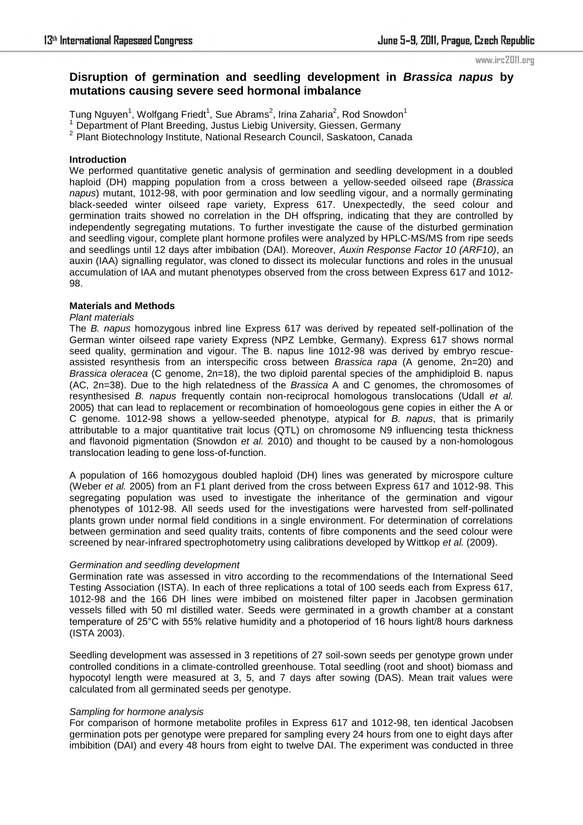#### www.irc2011.org

# **Disruption of germination and seedling development in** *Brassica napus* **by mutations causing severe seed hormonal imbalance**

Tung Nguyen $^1$ , Wolfgang Friedt $^1$ , Sue Abrams $^2$ , Irina Zaharia $^2$ , Rod Snowdon $^1$ 

<sup>1</sup>Department of Plant Breeding, Justus Liebig University, Giessen, Germany

<sup>2</sup> Plant Biotechnology Institute, National Research Council, Saskatoon, Canada

### **Introduction**

We performed quantitative genetic analysis of germination and seedling development in a doubled haploid (DH) mapping population from a cross between a yellow-seeded oilseed rape (*Brassica napus*) mutant, 1012-98, with poor germination and low seedling vigour, and a normally germinating black-seeded winter oilseed rape variety, Express 617. Unexpectedly, the seed colour and germination traits showed no correlation in the DH offspring, indicating that they are controlled by independently segregating mutations. To further investigate the cause of the disturbed germination and seedling vigour, complete plant hormone profiles were analyzed by HPLC-MS/MS from ripe seeds and seedlings until 12 days after imbibation (DAI). Moreover, *Auxin Response Factor 10 (ARF10)*, an auxin (IAA) signalling regulator, was cloned to dissect its molecular functions and roles in the unusual accumulation of IAA and mutant phenotypes observed from the cross between Express 617 and 1012- 98.

## **Materials and Methods**

#### *Plant materials*

The *B. napus* homozygous inbred line Express 617 was derived by repeated self-pollination of the German winter oilseed rape variety Express (NPZ Lembke, Germany). Express 617 shows normal seed quality, germination and vigour. The B. napus line 1012-98 was derived by embryo rescueassisted resynthesis from an interspecific cross between *Brassica rapa* (A genome, 2n=20) and *Brassica oleracea* (C genome, 2n=18), the two diploid parental species of the amphidiploid B. napus (AC, 2n=38). Due to the high relatedness of the *Brassica* A and C genomes, the chromosomes of resynthesised *B. napus* frequently contain non-reciprocal homologous translocations (Udall *et al.* 2005) that can lead to replacement or recombination of homoeologous gene copies in either the A or C genome. 1012-98 shows a yellow-seeded phenotype, atypical for *B. napus*, that is primarily attributable to a major quantitative trait locus (QTL) on chromosome N9 influencing testa thickness and flavonoid pigmentation (Snowdon *et al.* 2010) and thought to be caused by a non-homologous translocation leading to gene loss-of-function.

A population of 166 homozygous doubled haploid (DH) lines was generated by microspore culture (Weber *et al.* 2005) from an F1 plant derived from the cross between Express 617 and 1012-98. This segregating population was used to investigate the inheritance of the germination and vigour phenotypes of 1012-98. All seeds used for the investigations were harvested from self-pollinated plants grown under normal field conditions in a single environment. For determination of correlations between germination and seed quality traits, contents of fibre components and the seed colour were screened by near-infrared spectrophotometry using calibrations developed by Wittkop *et al.* (2009).

#### *Germination and seedling development*

Germination rate was assessed in vitro according to the recommendations of the International Seed Testing Association (ISTA). In each of three replications a total of 100 seeds each from Express 617, 1012-98 and the 166 DH lines were imbibed on moistened filter paper in Jacobsen germination vessels filled with 50 ml distilled water. Seeds were germinated in a growth chamber at a constant temperature of 25°C with 55% relative humidity and a photoperiod of 16 hours light/8 hours darkness (ISTA 2003).

Seedling development was assessed in 3 repetitions of 27 soil-sown seeds per genotype grown under controlled conditions in a climate-controlled greenhouse. Total seedling (root and shoot) biomass and hypocotyl length were measured at 3, 5, and 7 days after sowing (DAS). Mean trait values were calculated from all germinated seeds per genotype.

#### *Sampling for hormone analysis*

For comparison of hormone metabolite profiles in Express 617 and 1012-98, ten identical Jacobsen germination pots per genotype were prepared for sampling every 24 hours from one to eight days after imbibition (DAI) and every 48 hours from eight to twelve DAI. The experiment was conducted in three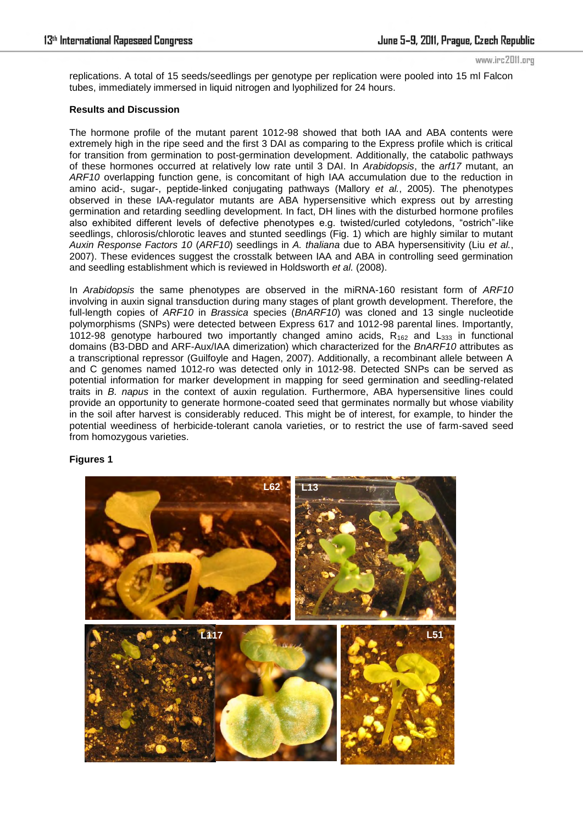www.irc2011.org

replications. A total of 15 seeds/seedlings per genotype per replication were pooled into 15 ml Falcon tubes, immediately immersed in liquid nitrogen and lyophilized for 24 hours.

### **Results and Discussion**

The hormone profile of the mutant parent 1012-98 showed that both IAA and ABA contents were extremely high in the ripe seed and the first 3 DAI as comparing to the Express profile which is critical for transition from germination to post-germination development. Additionally, the catabolic pathways of these hormones occurred at relatively low rate until 3 DAI. In *Arabidopsis*, the *arf17* mutant, an *ARF10* overlapping function gene, is concomitant of high IAA accumulation due to the reduction in amino acid-, sugar-, peptide-linked conjugating pathways (Mallory *et al.*, 2005). The phenotypes observed in these IAA-regulator mutants are ABA hypersensitive which express out by arresting germination and retarding seedling development. In fact, DH lines with the disturbed hormone profiles also exhibited different levels of defective phenotypes e.g. twisted/curled cotyledons, "ostrich"-like seedlings, chlorosis/chlorotic leaves and stunted seedlings (Fig. 1) which are highly similar to mutant *Auxin Response Factors 10* (*ARF10*) seedlings in *A. thaliana* due to ABA hypersensitivity (Liu *et al.*, 2007). These evidences suggest the crosstalk between IAA and ABA in controlling seed germination and seedling establishment which is reviewed in Holdsworth *et al.* (2008).

In *Arabidopsis* the same phenotypes are observed in the miRNA-160 resistant form of *ARF10* involving in auxin signal transduction during many stages of plant growth development. Therefore, the full-length copies of *ARF10* in *Brassica* species (*BnARF10*) was cloned and 13 single nucleotide polymorphisms (SNPs) were detected between Express 617 and 1012-98 parental lines. Importantly, 1012-98 genotype harboured two importantly changed amino acids,  $R_{162}$  and  $L_{333}$  in functional domains (B3-DBD and ARF-Aux/IAA dimerization) which characterized for the *BnARF10* attributes as a transcriptional repressor (Guilfoyle and Hagen, 2007). Additionally, a recombinant allele between A and C genomes named 1012-ro was detected only in 1012-98. Detected SNPs can be served as potential information for marker development in mapping for seed germination and seedling-related traits in *B. napus* in the context of auxin regulation. Furthermore, ABA hypersensitive lines could provide an opportunity to generate hormone-coated seed that germinates normally but whose viability in the soil after harvest is considerably reduced. This might be of interest, for example, to hinder the potential weediness of herbicide-tolerant canola varieties, or to restrict the use of farm-saved seed from homozygous varieties.

# **Figures 1**